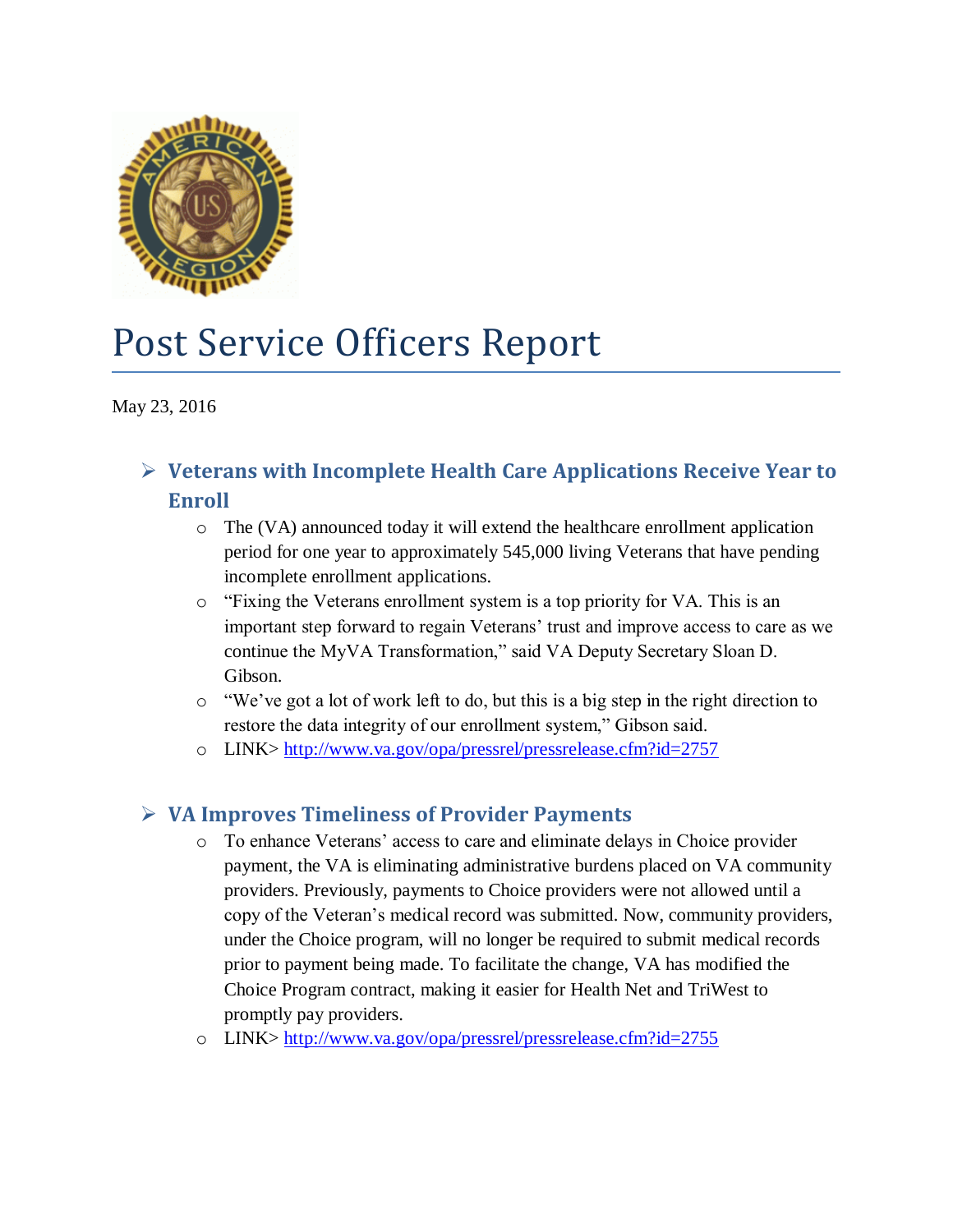

# Post Service Officers Report

May 23, 2016

## **Veterans with Incomplete Health Care Applications Receive Year to Enroll**

- $\circ$  The (VA) announced today it will extend the healthcare enrollment application period for one year to approximately 545,000 living Veterans that have pending incomplete enrollment applications.
- $\circ$  "Fixing the Veterans enrollment system is a top priority for VA. This is an important step forward to regain Veterans' trust and improve access to care as we continue the MyVA Transformation," said VA Deputy Secretary Sloan D. Gibson.
- o "We've got a lot of work left to do, but this is a big step in the right direction to restore the data integrity of our enrollment system," Gibson said.
- o LINK><http://www.va.gov/opa/pressrel/pressrelease.cfm?id=2757>

### **VA Improves Timeliness of Provider Payments**

- o To enhance Veterans' access to care and eliminate delays in Choice provider payment, the VA is eliminating administrative burdens placed on VA community providers. Previously, payments to Choice providers were not allowed until a copy of the Veteran's medical record was submitted. Now, community providers, under the Choice program, will no longer be required to submit medical records prior to payment being made. To facilitate the change, VA has modified the [Choice Program](http://www.va.gov/opa/choiceact/) contract, making it easier for Health Net and TriWest to promptly pay providers.
- o LINK><http://www.va.gov/opa/pressrel/pressrelease.cfm?id=2755>